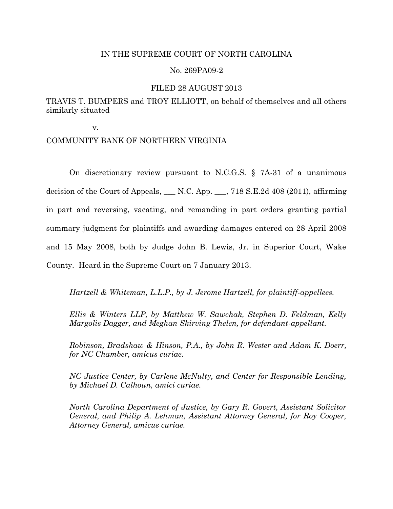## IN THE SUPREME COURT OF NORTH CAROLINA

## No. 269PA09-2

## FILED 28 AUGUST 2013

# TRAVIS T. BUMPERS and TROY ELLIOTT, on behalf of themselves and all others similarly situated

v.

## COMMUNITY BANK OF NORTHERN VIRGINIA

On discretionary review pursuant to N.C.G.S. § 7A-31 of a unanimous decision of the Court of Appeals, \_\_\_ N.C. App. \_\_\_, 718 S.E.2d 408 (2011), affirming in part and reversing, vacating, and remanding in part orders granting partial summary judgment for plaintiffs and awarding damages entered on 28 April 2008 and 15 May 2008, both by Judge John B. Lewis, Jr. in Superior Court, Wake County. Heard in the Supreme Court on 7 January 2013.

*Hartzell & Whiteman, L.L.P., by J. Jerome Hartzell, for plaintiff-appellees.*

*Ellis & Winters LLP, by Matthew W. Sawchak, Stephen D. Feldman, Kelly Margolis Dagger, and Meghan Skirving Thelen, for defendant-appellant.*

*Robinson, Bradshaw & Hinson, P.A., by John R. Wester and Adam K. Doerr, for NC Chamber, amicus curiae.* 

*NC Justice Center, by Carlene McNulty, and Center for Responsible Lending, by Michael D. Calhoun, amici curiae.*

*North Carolina Department of Justice, by Gary R. Govert, Assistant Solicitor General, and Philip A. Lehman, Assistant Attorney General, for Roy Cooper, Attorney General, amicus curiae.*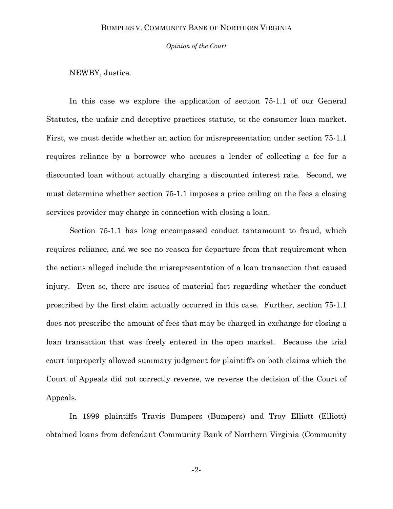*Opinion of the Court*

NEWBY, Justice.

In this case we explore the application of section 75-1.1 of our General Statutes, the unfair and deceptive practices statute, to the consumer loan market. First, we must decide whether an action for misrepresentation under section 75-1.1 requires reliance by a borrower who accuses a lender of collecting a fee for a discounted loan without actually charging a discounted interest rate. Second, we must determine whether section 75-1.1 imposes a price ceiling on the fees a closing services provider may charge in connection with closing a loan.

Section 75-1.1 has long encompassed conduct tantamount to fraud, which requires reliance, and we see no reason for departure from that requirement when the actions alleged include the misrepresentation of a loan transaction that caused injury. Even so, there are issues of material fact regarding whether the conduct proscribed by the first claim actually occurred in this case. Further, section 75-1.1 does not prescribe the amount of fees that may be charged in exchange for closing a loan transaction that was freely entered in the open market. Because the trial court improperly allowed summary judgment for plaintiffs on both claims which the Court of Appeals did not correctly reverse, we reverse the decision of the Court of Appeals.

In 1999 plaintiffs Travis Bumpers (Bumpers) and Troy Elliott (Elliott) obtained loans from defendant Community Bank of Northern Virginia (Community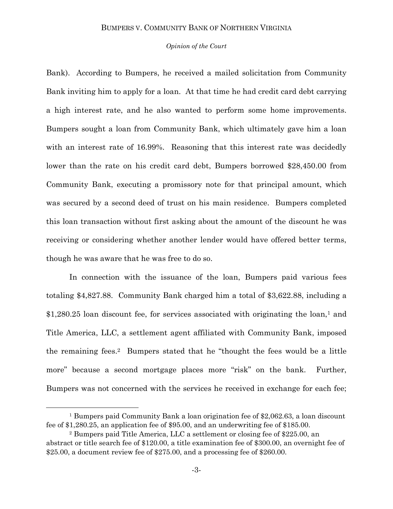#### *Opinion of the Court*

Bank). According to Bumpers, he received a mailed solicitation from Community Bank inviting him to apply for a loan. At that time he had credit card debt carrying a high interest rate, and he also wanted to perform some home improvements. Bumpers sought a loan from Community Bank, which ultimately gave him a loan with an interest rate of 16.99%. Reasoning that this interest rate was decidedly lower than the rate on his credit card debt, Bumpers borrowed \$28,450.00 from Community Bank, executing a promissory note for that principal amount, which was secured by a second deed of trust on his main residence. Bumpers completed this loan transaction without first asking about the amount of the discount he was receiving or considering whether another lender would have offered better terms, though he was aware that he was free to do so.

In connection with the issuance of the loan, Bumpers paid various fees totaling \$4,827.88. Community Bank charged him a total of \$3,622.88, including a  $$1,280.25$  loan discount fee, for services associated with originating the loan,<sup>1</sup> and Title America, LLC, a settlement agent affiliated with Community Bank, imposed the remaining fees.<sup>2</sup> Bumpers stated that he "thought the fees would be a little more" because a second mortgage places more "risk" on the bank. Further, Bumpers was not concerned with the services he received in exchange for each fee;

 $\overline{a}$ 

<sup>1</sup> Bumpers paid Community Bank a loan origination fee of \$2,062.63, a loan discount fee of \$1,280.25, an application fee of \$95.00, and an underwriting fee of \$185.00.

<sup>2</sup> Bumpers paid Title America, LLC a settlement or closing fee of \$225.00, an abstract or title search fee of \$120.00, a title examination fee of \$300.00, an overnight fee of \$25.00, a document review fee of \$275.00, and a processing fee of \$260.00.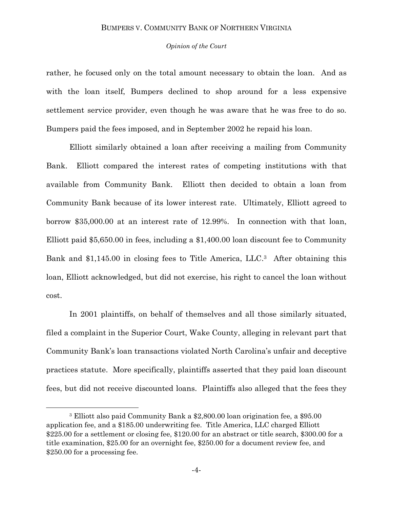#### *Opinion of the Court*

rather, he focused only on the total amount necessary to obtain the loan. And as with the loan itself, Bumpers declined to shop around for a less expensive settlement service provider, even though he was aware that he was free to do so. Bumpers paid the fees imposed, and in September 2002 he repaid his loan.

Elliott similarly obtained a loan after receiving a mailing from Community Bank. Elliott compared the interest rates of competing institutions with that available from Community Bank. Elliott then decided to obtain a loan from Community Bank because of its lower interest rate. Ultimately, Elliott agreed to borrow \$35,000.00 at an interest rate of 12.99%. In connection with that loan, Elliott paid \$5,650.00 in fees, including a \$1,400.00 loan discount fee to Community Bank and \$1,145.00 in closing fees to Title America, LLC. <sup>3</sup> After obtaining this loan, Elliott acknowledged, but did not exercise, his right to cancel the loan without cost.

In 2001 plaintiffs, on behalf of themselves and all those similarly situated, filed a complaint in the Superior Court, Wake County, alleging in relevant part that Community Bank's loan transactions violated North Carolina's unfair and deceptive practices statute. More specifically, plaintiffs asserted that they paid loan discount fees, but did not receive discounted loans. Plaintiffs also alleged that the fees they

 $\overline{a}$ 

<sup>3</sup> Elliott also paid Community Bank a \$2,800.00 loan origination fee, a \$95.00 application fee, and a \$185.00 underwriting fee. Title America, LLC charged Elliott \$225.00 for a settlement or closing fee, \$120.00 for an abstract or title search, \$300.00 for a title examination, \$25.00 for an overnight fee, \$250.00 for a document review fee, and \$250.00 for a processing fee.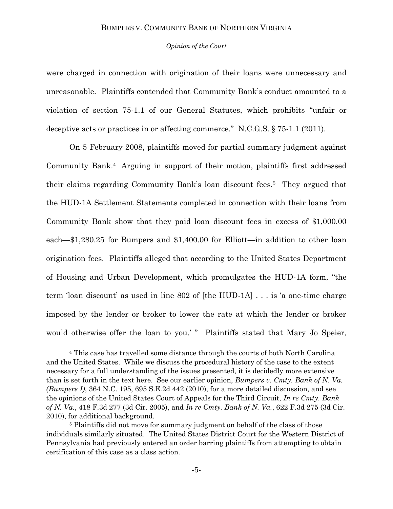#### *Opinion of the Court*

were charged in connection with origination of their loans were unnecessary and unreasonable. Plaintiffs contended that Community Bank's conduct amounted to a violation of section 75-1.1 of our General Statutes, which prohibits "unfair or deceptive acts or practices in or affecting commerce." N.C.G.S.  $\S 75-1.1$  (2011).

On 5 February 2008, plaintiffs moved for partial summary judgment against Community Bank.<sup>4</sup> Arguing in support of their motion, plaintiffs first addressed their claims regarding Community Bank's loan discount fees. <sup>5</sup> They argued that the HUD-1A Settlement Statements completed in connection with their loans from Community Bank show that they paid loan discount fees in excess of \$1,000.00 each—\$1,280.25 for Bumpers and \$1,400.00 for Elliott—in addition to other loan origination fees. Plaintiffs alleged that according to the United States Department of Housing and Urban Development, which promulgates the HUD-1A form, "the term 'loan discount' as used in line  $802$  of [the HUD-1A] . . . is 'a one-time charge imposed by the lender or broker to lower the rate at which the lender or broker would otherwise offer the loan to you.' " Plaintiffs stated that Mary Jo Speier,

l

<sup>4</sup> This case has travelled some distance through the courts of both North Carolina and the United States. While we discuss the procedural history of the case to the extent necessary for a full understanding of the issues presented, it is decidedly more extensive than is set forth in the text here. See our earlier opinion, *Bumpers v. Cmty. Bank of N. Va. (Bumpers I)*, 364 N.C. 195, 695 S.E.2d 442 (2010), for a more detailed discussion, and see the opinions of the United States Court of Appeals for the Third Circuit, *In re Cmty. Bank of N. Va.*, 418 F.3d 277 (3d Cir. 2005), and *In re Cmty. Bank of N. Va.*, 622 F.3d 275 (3d Cir. 2010), for additional background.

<sup>5</sup> Plaintiffs did not move for summary judgment on behalf of the class of those individuals similarly situated. The United States District Court for the Western District of Pennsylvania had previously entered an order barring plaintiffs from attempting to obtain certification of this case as a class action.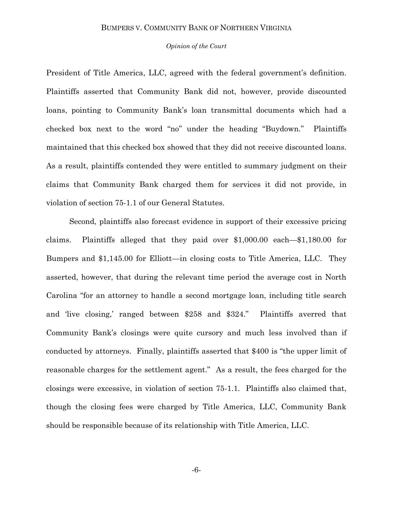#### *Opinion of the Court*

President of Title America, LLC, agreed with the federal government's definition. Plaintiffs asserted that Community Bank did not, however, provide discounted loans, pointing to Community Bank's loan transmittal documents which had a checked box next to the word "no" under the heading "Buydown." Plaintiffs maintained that this checked box showed that they did not receive discounted loans. As a result, plaintiffs contended they were entitled to summary judgment on their claims that Community Bank charged them for services it did not provide, in violation of section 75-1.1 of our General Statutes.

Second, plaintiffs also forecast evidence in support of their excessive pricing claims. Plaintiffs alleged that they paid over \$1,000.00 each—\$1,180.00 for Bumpers and \$1,145.00 for Elliott—in closing costs to Title America, LLC. They asserted, however, that during the relevant time period the average cost in North Carolina "for an attorney to handle a second mortgage loan, including title search and 'live closing,' ranged between \$258 and \$324." Plaintiffs averred that Community Bank's closings were quite cursory and much less involved than if conducted by attorneys. Finally, plaintiffs asserted that \$400 is "the upper limit of reasonable charges for the settlement agent." As a result, the fees charged for the closings were excessive, in violation of section 75-1.1. Plaintiffs also claimed that, though the closing fees were charged by Title America, LLC, Community Bank should be responsible because of its relationship with Title America, LLC.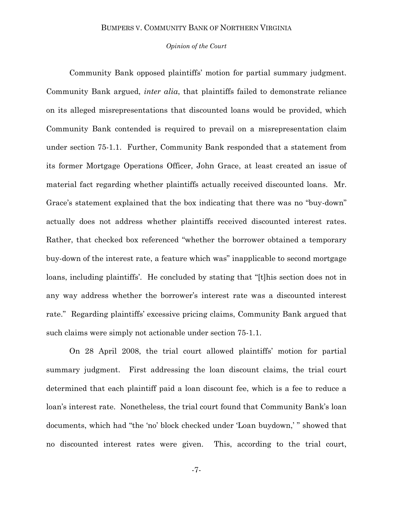#### *Opinion of the Court*

Community Bank opposed plaintiffs' motion for partial summary judgment. Community Bank argued, *inter alia*, that plaintiffs failed to demonstrate reliance on its alleged misrepresentations that discounted loans would be provided, which Community Bank contended is required to prevail on a misrepresentation claim under section 75-1.1. Further, Community Bank responded that a statement from its former Mortgage Operations Officer, John Grace, at least created an issue of material fact regarding whether plaintiffs actually received discounted loans. Mr. Grace's statement explained that the box indicating that there was no "buy-down" actually does not address whether plaintiffs received discounted interest rates. Rather, that checked box referenced "whether the borrower obtained a temporary buy-down of the interest rate, a feature which was" inapplicable to second mortgage loans, including plaintiffs'. He concluded by stating that "[t]his section does not in any way address whether the borrower's interest rate was a discounted interest rate." Regarding plaintiffs' excessive pricing claims, Community Bank argued that such claims were simply not actionable under section 75-1.1.

On 28 April 2008, the trial court allowed plaintiffs' motion for partial summary judgment. First addressing the loan discount claims, the trial court determined that each plaintiff paid a loan discount fee, which is a fee to reduce a loan's interest rate. Nonetheless, the trial court found that Community Bank's loan documents, which had "the 'no' block checked under 'Loan buydown,' " showed that no discounted interest rates were given. This, according to the trial court,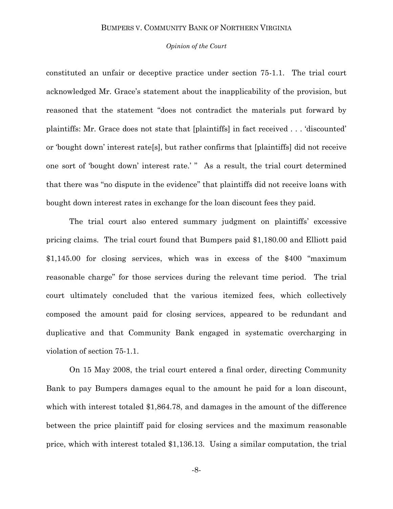#### *Opinion of the Court*

constituted an unfair or deceptive practice under section 75-1.1. The trial court acknowledged Mr. Grace's statement about the inapplicability of the provision, but reasoned that the statement "does not contradict the materials put forward by plaintiffs: Mr. Grace does not state that [plaintiffs] in fact received . . . ‗discounted' or 'bought down' interest rate[s], but rather confirms that [plaintiffs] did not receive one sort of 'bought down' interest rate.' " As a result, the trial court determined that there was "no dispute in the evidence" that plaintiffs did not receive loans with bought down interest rates in exchange for the loan discount fees they paid.

The trial court also entered summary judgment on plaintiffs' excessive pricing claims. The trial court found that Bumpers paid \$1,180.00 and Elliott paid  $$1,145.00$  for closing services, which was in excess of the  $$400$  "maximum" reasonable charge" for those services during the relevant time period. The trial court ultimately concluded that the various itemized fees, which collectively composed the amount paid for closing services, appeared to be redundant and duplicative and that Community Bank engaged in systematic overcharging in violation of section 75-1.1.

On 15 May 2008, the trial court entered a final order, directing Community Bank to pay Bumpers damages equal to the amount he paid for a loan discount, which with interest totaled \$1,864.78, and damages in the amount of the difference between the price plaintiff paid for closing services and the maximum reasonable price, which with interest totaled \$1,136.13. Using a similar computation, the trial

-8-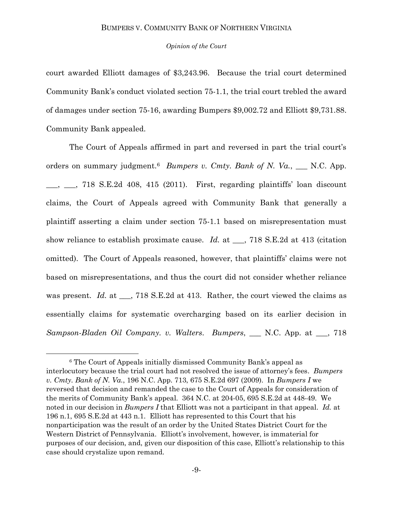#### *Opinion of the Court*

court awarded Elliott damages of \$3,243.96. Because the trial court determined Community Bank's conduct violated section 75-1.1, the trial court trebled the award of damages under section 75-16, awarding Bumpers \$9,002.72 and Elliott \$9,731.88. Community Bank appealed.

The Court of Appeals affirmed in part and reversed in part the trial court's orders on summary judgment.<sup>6</sup> *Bumpers v. Cmty. Bank of N. Va.*, \_\_ N.C. App.  $\frac{1}{2}$ ,  $\frac{1}{8}$ , 718 S.E.2d 408, 415 (2011). First, regarding plaintiffs' loan discount claims, the Court of Appeals agreed with Community Bank that generally a plaintiff asserting a claim under section 75-1.1 based on misrepresentation must show reliance to establish proximate cause. *Id.* at \_\_\_, 718 S.E.2d at 413 (citation omitted). The Court of Appeals reasoned, however, that plaintiffs' claims were not based on misrepresentations, and thus the court did not consider whether reliance was present. *Id.* at \_\_, 718 S.E.2d at 413. Rather, the court viewed the claims as essentially claims for systematic overcharging based on its earlier decision in *Sampson-Bladen Oil Company. v. Walters*. *Bumpers*, \_\_\_ N.C. App. at \_\_\_, 718

l

<sup>6</sup> The Court of Appeals initially dismissed Community Bank's appeal as interlocutory because the trial court had not resolved the issue of attorney's fees. *Bumpers v. Cmty. Bank of N. Va.*, 196 N.C. App. 713, 675 S.E.2d 697 (2009). In *Bumpers I* we reversed that decision and remanded the case to the Court of Appeals for consideration of the merits of Community Bank's appeal. 364 N.C. at 204-05, 695 S.E.2d at 448-49. We noted in our decision in *Bumpers I* that Elliott was not a participant in that appeal. *Id.* at 196 n.1, 695 S.E.2d at 443 n.1. Elliott has represented to this Court that his nonparticipation was the result of an order by the United States District Court for the Western District of Pennsylvania. Elliott's involvement, however, is immaterial for purposes of our decision, and, given our disposition of this case, Elliott's relationship to this case should crystalize upon remand.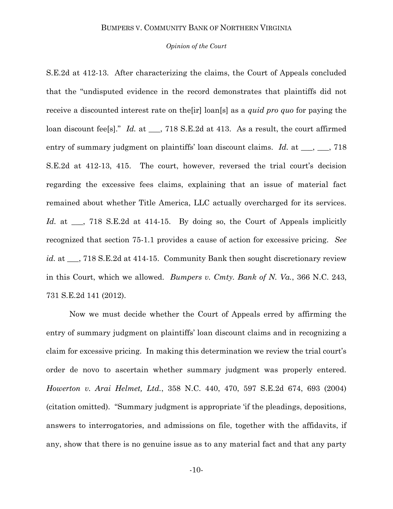#### *Opinion of the Court*

S.E.2d at 412-13. After characterizing the claims, the Court of Appeals concluded that the "undisputed evidence in the record demonstrates that plaintiffs did not receive a discounted interest rate on the[ir] loan[s] as a *quid pro quo* for paying the loan discount fee[s]." *Id.* at \_\_\_, 718 S.E.2d at 413. As a result, the court affirmed entry of summary judgment on plaintiffs' loan discount claims. *Id.* at \_\_\_, \_\_\_, 718 S.E.2d at 412-13, 415. The court, however, reversed the trial court's decision regarding the excessive fees claims, explaining that an issue of material fact remained about whether Title America, LLC actually overcharged for its services. Id. at \_\_, 718 S.E.2d at 414-15. By doing so, the Court of Appeals implicitly recognized that section 75-1.1 provides a cause of action for excessive pricing. *See id.* at  $\ldots$  718 S.E.2d at 414-15. Community Bank then sought discretionary review in this Court, which we allowed. *Bumpers v. Cmty. Bank of N. Va.*, 366 N.C. 243, 731 S.E.2d 141 (2012).

Now we must decide whether the Court of Appeals erred by affirming the entry of summary judgment on plaintiffs' loan discount claims and in recognizing a claim for excessive pricing. In making this determination we review the trial court's order de novo to ascertain whether summary judgment was properly entered. *Howerton v. Arai Helmet, Ltd.*, 358 N.C. 440, 470, 597 S.E.2d 674, 693 (2004) (citation omitted). ―Summary judgment is appropriate ‗if the pleadings, depositions, answers to interrogatories, and admissions on file, together with the affidavits, if any, show that there is no genuine issue as to any material fact and that any party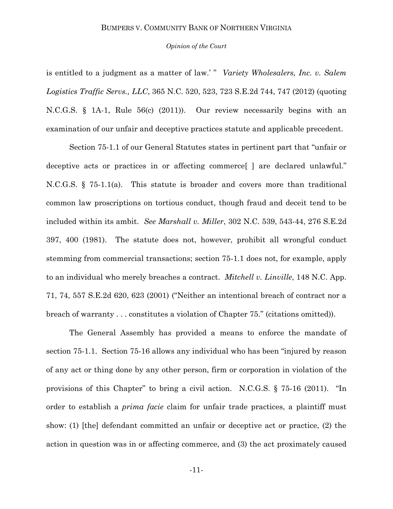#### *Opinion of the Court*

is entitled to a judgment as a matter of law.' " *Variety Wholesalers, Inc. v. Salem Logistics Traffic Servs., LLC*, 365 N.C. 520, 523, 723 S.E.2d 744, 747 (2012) (quoting N.C.G.S. § 1A-1, Rule 56(c) (2011)). Our review necessarily begins with an examination of our unfair and deceptive practices statute and applicable precedent.

Section 75-1.1 of our General Statutes states in pertinent part that "unfair or deceptive acts or practices in or affecting commerce<sup>[]</sup> are declared unlawful." N.C.G.S. § 75-1.1(a). This statute is broader and covers more than traditional common law proscriptions on tortious conduct, though fraud and deceit tend to be included within its ambit. *See Marshall v. Miller*, 302 N.C. 539, 543-44, 276 S.E.2d 397, 400 (1981). The statute does not, however, prohibit all wrongful conduct stemming from commercial transactions; section 75-1.1 does not, for example, apply to an individual who merely breaches a contract. *Mitchell v. Linville*, 148 N.C. App. 71, 74, 557 S.E.2d 620, 623 (2001) ("Neither an intentional breach of contract nor a breach of warranty . . . constitutes a violation of Chapter 75." (citations omitted)).

The General Assembly has provided a means to enforce the mandate of section 75-1.1. Section 75-16 allows any individual who has been "injured by reason" of any act or thing done by any other person, firm or corporation in violation of the provisions of this Chapter" to bring a civil action. N.C.G.S.  $\S$  75-16 (2011). "In order to establish a *prima facie* claim for unfair trade practices, a plaintiff must show: (1) [the] defendant committed an unfair or deceptive act or practice, (2) the action in question was in or affecting commerce, and (3) the act proximately caused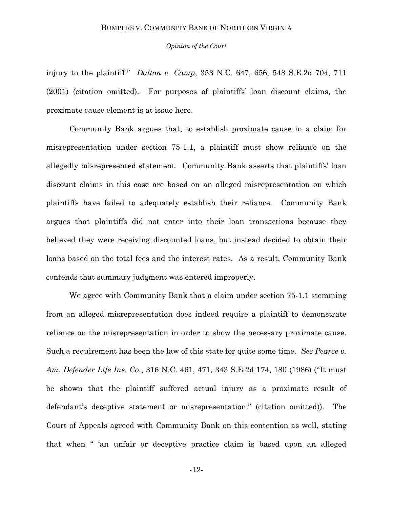*Opinion of the Court*

injury to the plaintiff." *Dalton v. Camp*, 353 N.C. 647, 656, 548 S.E.2d 704, 711 (2001) (citation omitted). For purposes of plaintiffs' loan discount claims, the proximate cause element is at issue here.

Community Bank argues that, to establish proximate cause in a claim for misrepresentation under section 75-1.1, a plaintiff must show reliance on the allegedly misrepresented statement. Community Bank asserts that plaintiffs' loan discount claims in this case are based on an alleged misrepresentation on which plaintiffs have failed to adequately establish their reliance. Community Bank argues that plaintiffs did not enter into their loan transactions because they believed they were receiving discounted loans, but instead decided to obtain their loans based on the total fees and the interest rates. As a result, Community Bank contends that summary judgment was entered improperly.

We agree with Community Bank that a claim under section 75-1.1 stemming from an alleged misrepresentation does indeed require a plaintiff to demonstrate reliance on the misrepresentation in order to show the necessary proximate cause. Such a requirement has been the law of this state for quite some time. *See Pearce v. Am. Defender Life Ins. Co.*, 316 N.C. 461, 471, 343 S.E.2d 174, 180 (1986) ("It must be shown that the plaintiff suffered actual injury as a proximate result of defendant's deceptive statement or misrepresentation." (citation omitted)). The Court of Appeals agreed with Community Bank on this contention as well, stating that when " 'an unfair or deceptive practice claim is based upon an alleged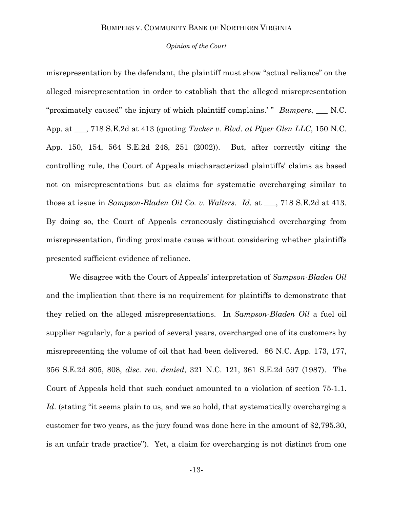#### *Opinion of the Court*

misrepresentation by the defendant, the plaintiff must show "actual reliance" on the alleged misrepresentation in order to establish that the alleged misrepresentation "proximately caused" the injury of which plaintiff complains.' " *Bumpers*, \_\_ N.C. App. at \_\_\_, 718 S.E.2d at 413 (quoting *Tucker v. Blvd. at Piper Glen LLC*, 150 N.C. App. 150, 154, 564 S.E.2d 248, 251 (2002)). But, after correctly citing the controlling rule, the Court of Appeals mischaracterized plaintiffs' claims as based not on misrepresentations but as claims for systematic overcharging similar to those at issue in *Sampson-Bladen Oil Co. v. Walters*. *Id.* at \_\_\_, 718 S.E.2d at 413. By doing so, the Court of Appeals erroneously distinguished overcharging from misrepresentation, finding proximate cause without considering whether plaintiffs presented sufficient evidence of reliance.

We disagree with the Court of Appeals' interpretation of *Sampson-Bladen Oil* and the implication that there is no requirement for plaintiffs to demonstrate that they relied on the alleged misrepresentations. In *Sampson-Bladen Oil* a fuel oil supplier regularly, for a period of several years, overcharged one of its customers by misrepresenting the volume of oil that had been delivered. 86 N.C. App. 173, 177, 356 S.E.2d 805, 808, *disc. rev. denied*, 321 N.C. 121, 361 S.E.2d 597 (1987). The Court of Appeals held that such conduct amounted to a violation of section 75-1.1. *Id.* (stating "it seems plain to us, and we so hold, that systematically overcharging a customer for two years, as the jury found was done here in the amount of \$2,795.30, is an unfair trade practice"). Yet, a claim for overcharging is not distinct from one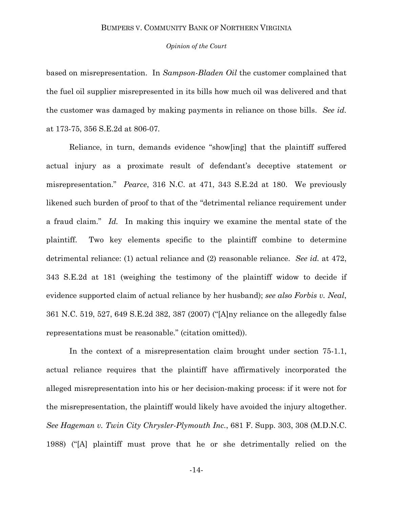#### *Opinion of the Court*

based on misrepresentation. In *Sampson-Bladen Oil* the customer complained that the fuel oil supplier misrepresented in its bills how much oil was delivered and that the customer was damaged by making payments in reliance on those bills. *See id.* at 173-75, 356 S.E.2d at 806-07*.*

Reliance, in turn, demands evidence "show[ing] that the plaintiff suffered actual injury as a proximate result of defendant's deceptive statement or misrepresentation.‖ *Pearce*, 316 N.C. at 471, 343 S.E.2d at 180. We previously likened such burden of proof to that of the "detrimental reliance requirement under a fraud claim." *Id.* In making this inquiry we examine the mental state of the plaintiff. Two key elements specific to the plaintiff combine to determine detrimental reliance: (1) actual reliance and (2) reasonable reliance. *See id.* at 472, 343 S.E.2d at 181 (weighing the testimony of the plaintiff widow to decide if evidence supported claim of actual reliance by her husband); *see also Forbis v. Neal*, 361 N.C. 519, 527, 649 S.E.2d 382, 387 (2007) ("[A]ny reliance on the allegedly false representations must be reasonable." (citation omitted)).

In the context of a misrepresentation claim brought under section 75-1.1, actual reliance requires that the plaintiff have affirmatively incorporated the alleged misrepresentation into his or her decision-making process: if it were not for the misrepresentation, the plaintiff would likely have avoided the injury altogether. *See Hageman v. Twin City Chrysler-Plymouth Inc.*, 681 F. Supp. 303, 308 (M.D.N.C. 1988) ("[A] plaintiff must prove that he or she detrimentally relied on the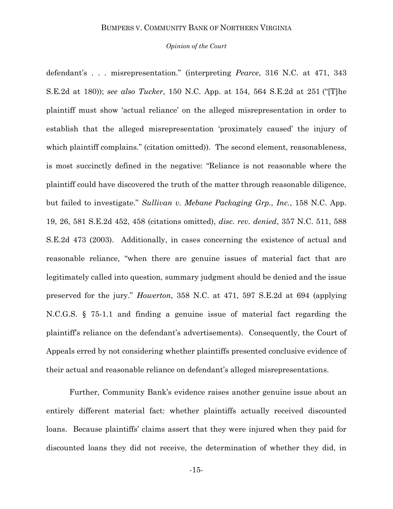#### *Opinion of the Court*

defendant's . . . misrepresentation.‖ (interpreting *Pearce*, 316 N.C. at 471, 343 S.E.2d at 180)); *see also Tucker*, 150 N.C. App. at 154, 564 S.E.2d at 251 ("[T]he plaintiff must show ‗actual reliance' on the alleged misrepresentation in order to establish that the alleged misrepresentation 'proximately caused' the injury of which plaintiff complains." (citation omitted)). The second element, reasonableness, is most succinctly defined in the negative: "Reliance is not reasonable where the plaintiff could have discovered the truth of the matter through reasonable diligence, but failed to investigate." *Sullivan v. Mebane Packaging Grp., Inc.*, 158 N.C. App. 19, 26, 581 S.E.2d 452, 458 (citations omitted), *disc. rev. denied*, 357 N.C. 511, 588 S.E.2d 473 (2003). Additionally, in cases concerning the existence of actual and reasonable reliance, "when there are genuine issues of material fact that are legitimately called into question, summary judgment should be denied and the issue preserved for the jury.‖ *Howerton*, 358 N.C. at 471, 597 S.E.2d at 694 (applying N.C.G.S. § 75-1.1 and finding a genuine issue of material fact regarding the plaintiff's reliance on the defendant's advertisements). Consequently, the Court of Appeals erred by not considering whether plaintiffs presented conclusive evidence of their actual and reasonable reliance on defendant's alleged misrepresentations.

Further, Community Bank's evidence raises another genuine issue about an entirely different material fact: whether plaintiffs actually received discounted loans. Because plaintiffs' claims assert that they were injured when they paid for discounted loans they did not receive, the determination of whether they did, in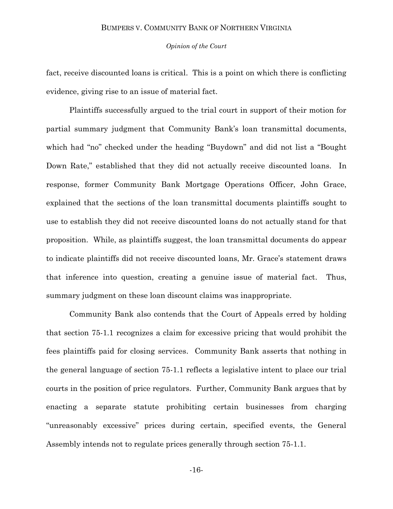#### *Opinion of the Court*

fact, receive discounted loans is critical. This is a point on which there is conflicting evidence, giving rise to an issue of material fact.

Plaintiffs successfully argued to the trial court in support of their motion for partial summary judgment that Community Bank's loan transmittal documents, which had "no" checked under the heading "Buydown" and did not list a "Bought" Down Rate," established that they did not actually receive discounted loans. In response, former Community Bank Mortgage Operations Officer, John Grace, explained that the sections of the loan transmittal documents plaintiffs sought to use to establish they did not receive discounted loans do not actually stand for that proposition. While, as plaintiffs suggest, the loan transmittal documents do appear to indicate plaintiffs did not receive discounted loans, Mr. Grace's statement draws that inference into question, creating a genuine issue of material fact. Thus, summary judgment on these loan discount claims was inappropriate.

Community Bank also contends that the Court of Appeals erred by holding that section 75-1.1 recognizes a claim for excessive pricing that would prohibit the fees plaintiffs paid for closing services. Community Bank asserts that nothing in the general language of section 75-1.1 reflects a legislative intent to place our trial courts in the position of price regulators. Further, Community Bank argues that by enacting a separate statute prohibiting certain businesses from charging ―unreasonably excessive‖ prices during certain, specified events, the General Assembly intends not to regulate prices generally through section 75-1.1.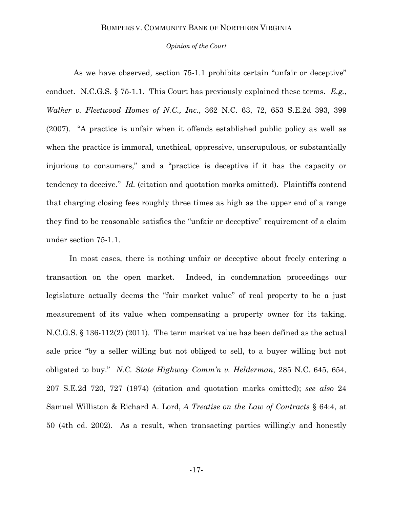#### *Opinion of the Court*

As we have observed, section 75-1.1 prohibits certain "unfair or deceptive" conduct. N.C.G.S. § 75-1.1. This Court has previously explained these terms. *E.g.*, *Walker v. Fleetwood Homes of N.C., Inc.*, 362 N.C. 63, 72, 653 S.E.2d 393, 399  $(2007)$ . "A practice is unfair when it offends established public policy as well as when the practice is immoral, unethical, oppressive, unscrupulous, or substantially injurious to consumers," and a "practice is deceptive if it has the capacity or tendency to deceive." *Id.* (citation and quotation marks omitted). Plaintiffs contend that charging closing fees roughly three times as high as the upper end of a range they find to be reasonable satisfies the "unfair or deceptive" requirement of a claim under section 75-1.1.

In most cases, there is nothing unfair or deceptive about freely entering a transaction on the open market. Indeed, in condemnation proceedings our legislature actually deems the "fair market value" of real property to be a just measurement of its value when compensating a property owner for its taking. N.C.G.S. § 136-112(2) (2011). The term market value has been defined as the actual sale price "by a seller willing but not obliged to sell, to a buyer willing but not obligated to buy.‖ *N.C. State Highway Comm'n v. Helderman*, 285 N.C. 645, 654, 207 S.E.2d 720, 727 (1974) (citation and quotation marks omitted); *see also* 24 Samuel Williston & Richard A. Lord, *A Treatise on the Law of Contracts* § 64:4, at 50 (4th ed. 2002). As a result, when transacting parties willingly and honestly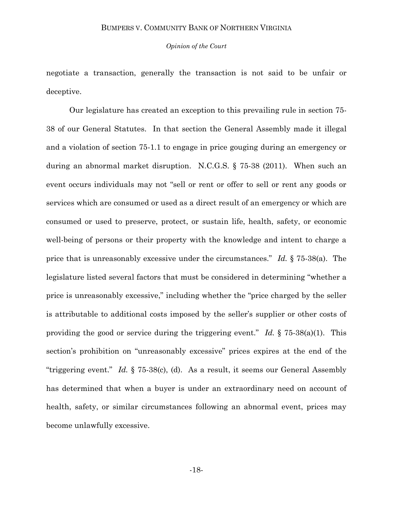#### *Opinion of the Court*

negotiate a transaction, generally the transaction is not said to be unfair or deceptive.

Our legislature has created an exception to this prevailing rule in section 75- 38 of our General Statutes. In that section the General Assembly made it illegal and a violation of section 75-1.1 to engage in price gouging during an emergency or during an abnormal market disruption. N.C.G.S. § 75-38 (2011). When such an event occurs individuals may not "sell or rent or offer to sell or rent any goods or services which are consumed or used as a direct result of an emergency or which are consumed or used to preserve, protect, or sustain life, health, safety, or economic well-being of persons or their property with the knowledge and intent to charge a price that is unreasonably excessive under the circumstances.‖ *Id.* § 75-38(a). The legislature listed several factors that must be considered in determining "whether a price is unreasonably excessive," including whether the "price charged by the seller is attributable to additional costs imposed by the seller's supplier or other costs of providing the good or service during the triggering event.<sup>"</sup> *Id.*  $\S$  75-38(a)(1). This section's prohibition on "unreasonably excessive" prices expires at the end of the "triggering event." *Id.*  $\S$  75-38(c), (d). As a result, it seems our General Assembly has determined that when a buyer is under an extraordinary need on account of health, safety, or similar circumstances following an abnormal event, prices may become unlawfully excessive.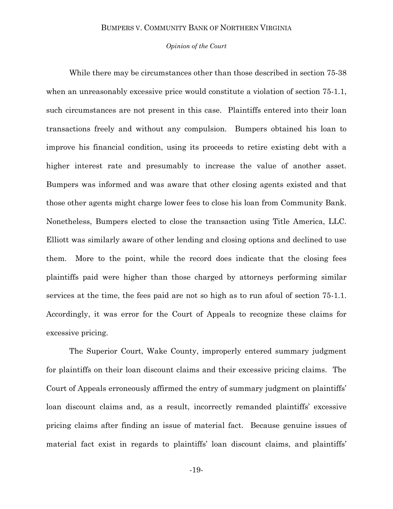#### *Opinion of the Court*

While there may be circumstances other than those described in section 75-38 when an unreasonably excessive price would constitute a violation of section 75-1.1, such circumstances are not present in this case. Plaintiffs entered into their loan transactions freely and without any compulsion. Bumpers obtained his loan to improve his financial condition, using its proceeds to retire existing debt with a higher interest rate and presumably to increase the value of another asset. Bumpers was informed and was aware that other closing agents existed and that those other agents might charge lower fees to close his loan from Community Bank. Nonetheless, Bumpers elected to close the transaction using Title America, LLC. Elliott was similarly aware of other lending and closing options and declined to use them. More to the point, while the record does indicate that the closing fees plaintiffs paid were higher than those charged by attorneys performing similar services at the time, the fees paid are not so high as to run afoul of section 75-1.1. Accordingly, it was error for the Court of Appeals to recognize these claims for excessive pricing.

The Superior Court, Wake County, improperly entered summary judgment for plaintiffs on their loan discount claims and their excessive pricing claims. The Court of Appeals erroneously affirmed the entry of summary judgment on plaintiffs' loan discount claims and, as a result, incorrectly remanded plaintiffs' excessive pricing claims after finding an issue of material fact. Because genuine issues of material fact exist in regards to plaintiffs' loan discount claims, and plaintiffs'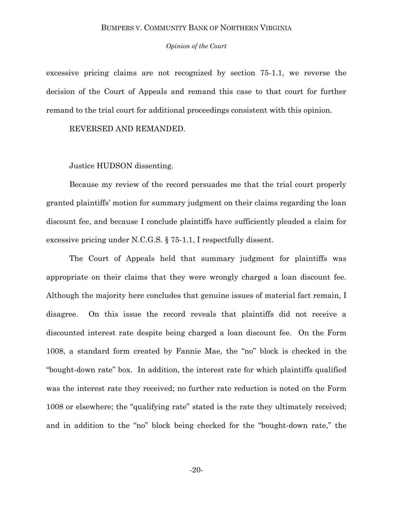*Opinion of the Court*

excessive pricing claims are not recognized by section 75-1.1, we reverse the decision of the Court of Appeals and remand this case to that court for further remand to the trial court for additional proceedings consistent with this opinion.

REVERSED AND REMANDED.

Justice HUDSON dissenting.

Because my review of the record persuades me that the trial court properly granted plaintiffs' motion for summary judgment on their claims regarding the loan discount fee, and because I conclude plaintiffs have sufficiently pleaded a claim for excessive pricing under N.C.G.S. § 75-1.1, I respectfully dissent.

The Court of Appeals held that summary judgment for plaintiffs was appropriate on their claims that they were wrongly charged a loan discount fee. Although the majority here concludes that genuine issues of material fact remain, I disagree. On this issue the record reveals that plaintiffs did not receive a discounted interest rate despite being charged a loan discount fee. On the Form 1008, a standard form created by Fannie Mae, the "no" block is checked in the "bought-down rate" box. In addition, the interest rate for which plaintiffs qualified was the interest rate they received; no further rate reduction is noted on the Form 1008 or elsewhere; the "qualifying rate" stated is the rate they ultimately received; and in addition to the "no" block being checked for the "bought-down rate," the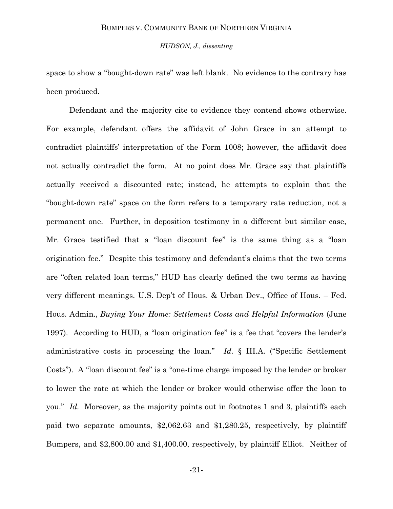*HUDSON, J., dissenting*

space to show a "bought-down rate" was left blank. No evidence to the contrary has been produced.

Defendant and the majority cite to evidence they contend shows otherwise. For example, defendant offers the affidavit of John Grace in an attempt to contradict plaintiffs' interpretation of the Form 1008; however, the affidavit does not actually contradict the form. At no point does Mr. Grace say that plaintiffs actually received a discounted rate; instead, he attempts to explain that the ―bought-down rate‖ space on the form refers to a temporary rate reduction, not a permanent one. Further, in deposition testimony in a different but similar case, Mr. Grace testified that a "loan discount fee" is the same thing as a "loan origination fee.‖ Despite this testimony and defendant's claims that the two terms are "often related loan terms," HUD has clearly defined the two terms as having very different meanings. U.S. Dep't of Hous. & Urban Dev., Office of Hous. – Fed. Hous. Admin., *Buying Your Home: Settlement Costs and Helpful Information* (June 1997). According to HUD, a "loan origination fee" is a fee that "covers the lender's administrative costs in processing the loan." *Id.* § III.A. ("Specific Settlement Costs"). A "loan discount fee" is a "one-time charge imposed by the lender or broker to lower the rate at which the lender or broker would otherwise offer the loan to you." *Id.* Moreover, as the majority points out in footnotes 1 and 3, plaintiffs each paid two separate amounts, \$2,062.63 and \$1,280.25, respectively, by plaintiff Bumpers, and \$2,800.00 and \$1,400.00, respectively, by plaintiff Elliot. Neither of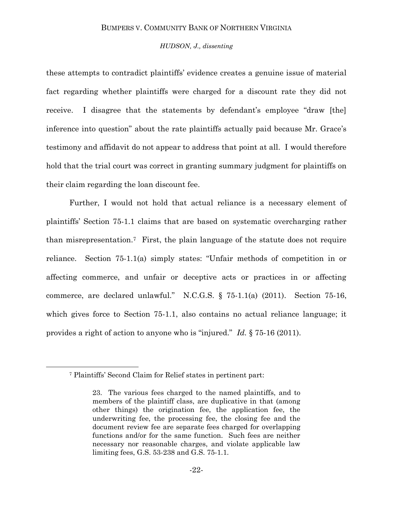#### *HUDSON, J., dissenting*

these attempts to contradict plaintiffs' evidence creates a genuine issue of material fact regarding whether plaintiffs were charged for a discount rate they did not receive. I disagree that the statements by defendant's employee "draw [the] inference into question" about the rate plaintiffs actually paid because Mr. Grace's testimony and affidavit do not appear to address that point at all. I would therefore hold that the trial court was correct in granting summary judgment for plaintiffs on their claim regarding the loan discount fee.

Further, I would not hold that actual reliance is a necessary element of plaintiffs' Section 75-1.1 claims that are based on systematic overcharging rather than misrepresentation.7 First, the plain language of the statute does not require reliance. Section  $75-1.1(a)$  simply states: "Unfair methods of competition in or affecting commerce, and unfair or deceptive acts or practices in or affecting commerce, are declared unlawful." N.C.G.S.  $\S$  75-1.1(a) (2011). Section 75-16, which gives force to Section 75-1.1, also contains no actual reliance language; it provides a right of action to anyone who is "injured." *Id.* § 75-16 (2011).

 $\overline{a}$ 

<sup>7</sup> Plaintiffs' Second Claim for Relief states in pertinent part:

<sup>23.</sup> The various fees charged to the named plaintiffs, and to members of the plaintiff class, are duplicative in that (among other things) the origination fee, the application fee, the underwriting fee, the processing fee, the closing fee and the document review fee are separate fees charged for overlapping functions and/or for the same function. Such fees are neither necessary nor reasonable charges, and violate applicable law limiting fees, G.S. 53-238 and G.S. 75-1.1.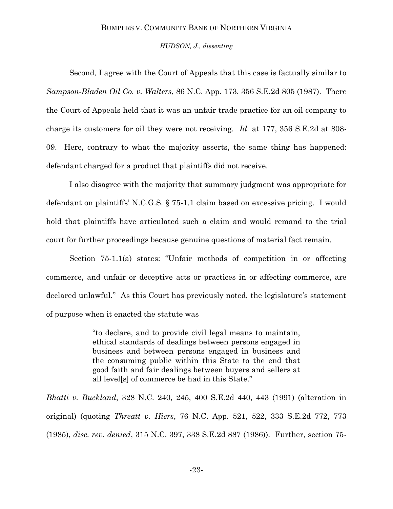#### *HUDSON, J., dissenting*

Second, I agree with the Court of Appeals that this case is factually similar to *Sampson-Bladen Oil Co. v. Walters*, 86 N.C. App. 173, 356 S.E.2d 805 (1987). There the Court of Appeals held that it was an unfair trade practice for an oil company to charge its customers for oil they were not receiving. *Id.* at 177, 356 S.E.2d at 808- 09. Here, contrary to what the majority asserts, the same thing has happened: defendant charged for a product that plaintiffs did not receive.

I also disagree with the majority that summary judgment was appropriate for defendant on plaintiffs' N.C.G.S. § 75-1.1 claim based on excessive pricing. I would hold that plaintiffs have articulated such a claim and would remand to the trial court for further proceedings because genuine questions of material fact remain.

Section  $75-1.1(a)$  states: "Unfair methods of competition in or affecting commerce, and unfair or deceptive acts or practices in or affecting commerce, are declared unlawful." As this Court has previously noted, the legislature's statement of purpose when it enacted the statute was

> ―to declare, and to provide civil legal means to maintain, ethical standards of dealings between persons engaged in business and between persons engaged in business and the consuming public within this State to the end that good faith and fair dealings between buyers and sellers at all level[s] of commerce be had in this State."

*Bhatti v. Buckland*, 328 N.C. 240, 245, 400 S.E.2d 440, 443 (1991) (alteration in original) (quoting *Threatt v. Hiers*, 76 N.C. App. 521, 522, 333 S.E.2d 772, 773 (1985), *disc. rev. denied*, 315 N.C. 397, 338 S.E.2d 887 (1986)). Further, section 75-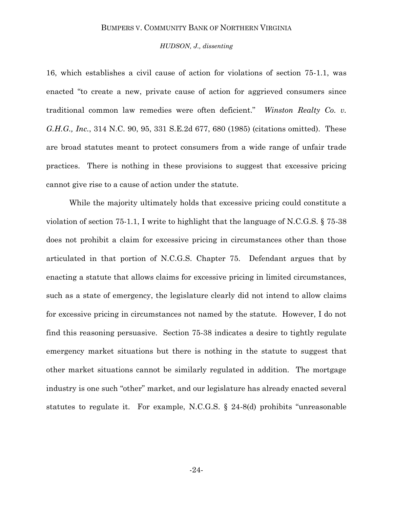#### *HUDSON, J., dissenting*

16, which establishes a civil cause of action for violations of section 75-1.1, was enacted "to create a new, private cause of action for aggrieved consumers since traditional common law remedies were often deficient." *Winston Realty Co. v. G.H.G., Inc.*, 314 N.C. 90, 95, 331 S.E.2d 677, 680 (1985) (citations omitted). These are broad statutes meant to protect consumers from a wide range of unfair trade practices. There is nothing in these provisions to suggest that excessive pricing cannot give rise to a cause of action under the statute.

While the majority ultimately holds that excessive pricing could constitute a violation of section 75-1.1, I write to highlight that the language of N.C.G.S. § 75-38 does not prohibit a claim for excessive pricing in circumstances other than those articulated in that portion of N.C.G.S. Chapter 75. Defendant argues that by enacting a statute that allows claims for excessive pricing in limited circumstances, such as a state of emergency, the legislature clearly did not intend to allow claims for excessive pricing in circumstances not named by the statute. However, I do not find this reasoning persuasive. Section 75-38 indicates a desire to tightly regulate emergency market situations but there is nothing in the statute to suggest that other market situations cannot be similarly regulated in addition. The mortgage industry is one such "other" market, and our legislature has already enacted several statutes to regulate it. For example, N.C.G.S.  $\S$  24-8(d) prohibits "unreasonable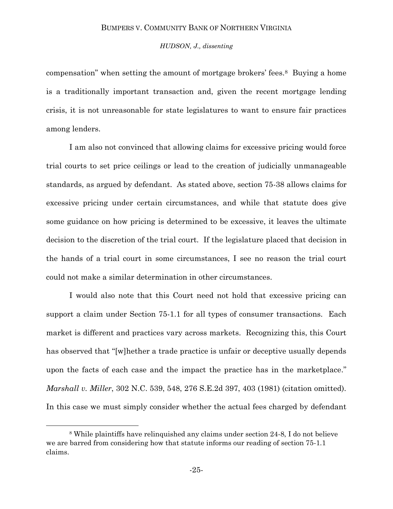### *HUDSON, J., dissenting*

compensation" when setting the amount of mortgage brokers' fees.<sup>8</sup> Buying a home is a traditionally important transaction and, given the recent mortgage lending crisis, it is not unreasonable for state legislatures to want to ensure fair practices among lenders.

I am also not convinced that allowing claims for excessive pricing would force trial courts to set price ceilings or lead to the creation of judicially unmanageable standards, as argued by defendant. As stated above, section 75-38 allows claims for excessive pricing under certain circumstances, and while that statute does give some guidance on how pricing is determined to be excessive, it leaves the ultimate decision to the discretion of the trial court. If the legislature placed that decision in the hands of a trial court in some circumstances, I see no reason the trial court could not make a similar determination in other circumstances.

I would also note that this Court need not hold that excessive pricing can support a claim under Section 75-1.1 for all types of consumer transactions. Each market is different and practices vary across markets. Recognizing this, this Court has observed that "[w]hether a trade practice is unfair or deceptive usually depends upon the facts of each case and the impact the practice has in the marketplace." *Marshall v. Miller*, 302 N.C. 539, 548, 276 S.E.2d 397, 403 (1981) (citation omitted). In this case we must simply consider whether the actual fees charged by defendant

l

<sup>8</sup> While plaintiffs have relinquished any claims under section 24-8, I do not believe we are barred from considering how that statute informs our reading of section 75-1.1 claims.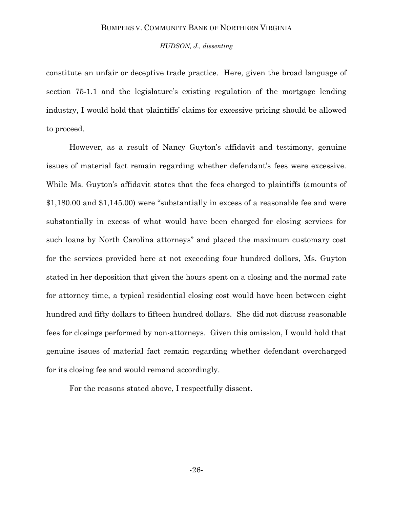#### *HUDSON, J., dissenting*

constitute an unfair or deceptive trade practice. Here, given the broad language of section 75-1.1 and the legislature's existing regulation of the mortgage lending industry, I would hold that plaintiffs' claims for excessive pricing should be allowed to proceed.

However, as a result of Nancy Guyton's affidavit and testimony, genuine issues of material fact remain regarding whether defendant's fees were excessive. While Ms. Guyton's affidavit states that the fees charged to plaintiffs (amounts of  $$1,180.00$  and  $$1,145.00$ ) were "substantially in excess of a reasonable fee and were substantially in excess of what would have been charged for closing services for such loans by North Carolina attorneys" and placed the maximum customary cost for the services provided here at not exceeding four hundred dollars, Ms. Guyton stated in her deposition that given the hours spent on a closing and the normal rate for attorney time, a typical residential closing cost would have been between eight hundred and fifty dollars to fifteen hundred dollars. She did not discuss reasonable fees for closings performed by non-attorneys. Given this omission, I would hold that genuine issues of material fact remain regarding whether defendant overcharged for its closing fee and would remand accordingly.

For the reasons stated above, I respectfully dissent.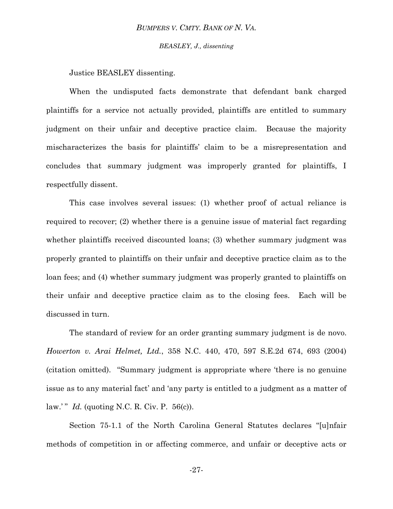*BEASLEY, J., dissenting*

Justice BEASLEY dissenting.

When the undisputed facts demonstrate that defendant bank charged plaintiffs for a service not actually provided, plaintiffs are entitled to summary judgment on their unfair and deceptive practice claim. Because the majority mischaracterizes the basis for plaintiffs' claim to be a misrepresentation and concludes that summary judgment was improperly granted for plaintiffs, I respectfully dissent.

This case involves several issues: (1) whether proof of actual reliance is required to recover; (2) whether there is a genuine issue of material fact regarding whether plaintiffs received discounted loans; (3) whether summary judgment was properly granted to plaintiffs on their unfair and deceptive practice claim as to the loan fees; and (4) whether summary judgment was properly granted to plaintiffs on their unfair and deceptive practice claim as to the closing fees. Each will be discussed in turn.

The standard of review for an order granting summary judgment is de novo. *Howerton v. Arai Helmet, Ltd.*, 358 N.C. 440, 470, 597 S.E.2d 674, 693 (2004) (citation omitted). ―Summary judgment is appropriate where ‗there is no genuine issue as to any material fact' and 'any party is entitled to a judgment as a matter of law.'"  $Id.$  (quoting N.C. R. Civ. P. 56(c)).

Section 75-1.1 of the North Carolina General Statutes declares "[u]nfair methods of competition in or affecting commerce, and unfair or deceptive acts or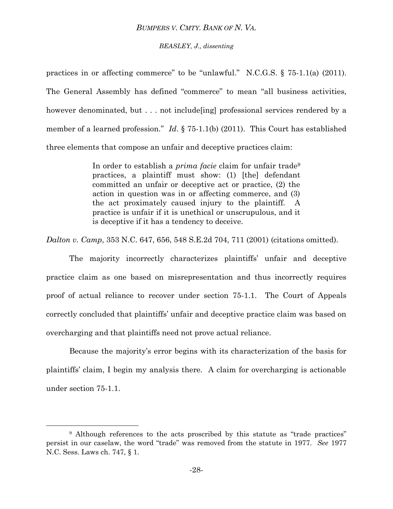#### *BEASLEY, J., dissenting*

practices in or affecting commerce" to be "unlawful." N.C.G.S.  $\S$  75-1.1(a) (2011). The General Assembly has defined "commerce" to mean "all business activities, however denominated, but . . . not include [ing] professional services rendered by a member of a learned profession." *Id.* § 75-1.1(b) (2011). This Court has established three elements that compose an unfair and deceptive practices claim:

> In order to establish a *prima facie* claim for unfair trade<sup>9</sup> practices, a plaintiff must show: (1) [the] defendant committed an unfair or deceptive act or practice, (2) the action in question was in or affecting commerce, and (3) the act proximately caused injury to the plaintiff. A practice is unfair if it is unethical or unscrupulous, and it is deceptive if it has a tendency to deceive.

*Dalton v. Camp*, 353 N.C. 647, 656, 548 S.E.2d 704, 711 (2001) (citations omitted).

The majority incorrectly characterizes plaintiffs' unfair and deceptive practice claim as one based on misrepresentation and thus incorrectly requires proof of actual reliance to recover under section 75-1.1. The Court of Appeals correctly concluded that plaintiffs' unfair and deceptive practice claim was based on overcharging and that plaintiffs need not prove actual reliance.

Because the majority's error begins with its characterization of the basis for plaintiffs' claim, I begin my analysis there. A claim for overcharging is actionable under section 75-1.1.

l

<sup>&</sup>lt;sup>9</sup> Although references to the acts proscribed by this statute as "trade practices" persist in our caselaw, the word "trade" was removed from the statute in 1977. *See* 1977 N.C. Sess. Laws ch. 747, § 1.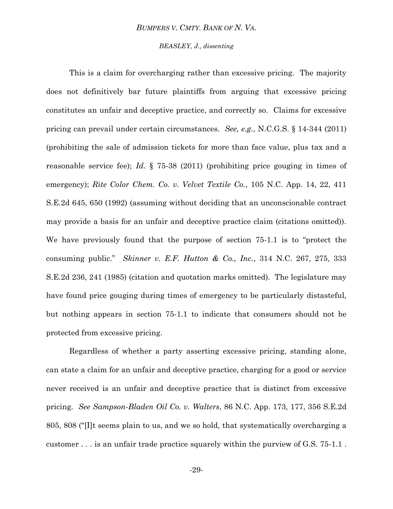## *BEASLEY, J., dissenting*

This is a claim for overcharging rather than excessive pricing. The majority does not definitively bar future plaintiffs from arguing that excessive pricing constitutes an unfair and deceptive practice, and correctly so. Claims for excessive pricing can prevail under certain circumstances. *See, e.g.*, N.C.G.S. § 14-344 (2011) (prohibiting the sale of admission tickets for more than face value, plus tax and a reasonable service fee); *Id*. § 75-38 (2011) (prohibiting price gouging in times of emergency); *Rite Color Chem. Co. v. Velvet Textile Co.*, 105 N.C. App. 14, 22, 411 S.E.2d 645, 650 (1992) (assuming without deciding that an unconscionable contract may provide a basis for an unfair and deceptive practice claim (citations omitted)). We have previously found that the purpose of section  $75-1.1$  is to "protect the consuming public.‖ *Skinner v. E.F. Hutton & Co., Inc.*, 314 N.C. 267, 275, 333 S.E.2d 236, 241 (1985) (citation and quotation marks omitted). The legislature may have found price gouging during times of emergency to be particularly distasteful, but nothing appears in section 75-1.1 to indicate that consumers should not be protected from excessive pricing.

Regardless of whether a party asserting excessive pricing, standing alone, can state a claim for an unfair and deceptive practice, charging for a good or service never received is an unfair and deceptive practice that is distinct from excessive pricing. *See Sampson-Bladen Oil Co. v. Walters*, 86 N.C. App. 173, 177, 356 S.E.2d 805, 808 ("I]t seems plain to us, and we so hold, that systematically overcharging a customer . . . is an unfair trade practice squarely within the purview of G.S. 75-1.1 .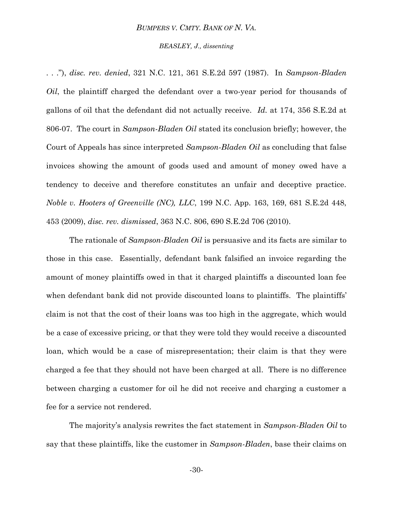#### *BEASLEY, J., dissenting*

. . ."), *disc. rev. denied*, 321 N.C. 121, 361 S.E.2d 597 (1987). In *Sampson-Bladen Oil*, the plaintiff charged the defendant over a two-year period for thousands of gallons of oil that the defendant did not actually receive. *Id.* at 174, 356 S.E.2d at 806-07. The court in *Sampson-Bladen Oil* stated its conclusion briefly; however, the Court of Appeals has since interpreted *Sampson-Bladen Oil* as concluding that false invoices showing the amount of goods used and amount of money owed have a tendency to deceive and therefore constitutes an unfair and deceptive practice. *Noble v. Hooters of Greenville (NC), LLC*, 199 N.C. App. 163, 169, 681 S.E.2d 448, 453 (2009), *disc. rev. dismissed*, 363 N.C. 806, 690 S.E.2d 706 (2010).

The rationale of *Sampson-Bladen Oil* is persuasive and its facts are similar to those in this case. Essentially, defendant bank falsified an invoice regarding the amount of money plaintiffs owed in that it charged plaintiffs a discounted loan fee when defendant bank did not provide discounted loans to plaintiffs. The plaintiffs' claim is not that the cost of their loans was too high in the aggregate, which would be a case of excessive pricing, or that they were told they would receive a discounted loan, which would be a case of misrepresentation; their claim is that they were charged a fee that they should not have been charged at all. There is no difference between charging a customer for oil he did not receive and charging a customer a fee for a service not rendered.

The majority's analysis rewrites the fact statement in *Sampson-Bladen Oil* to say that these plaintiffs, like the customer in *Sampson-Bladen*, base their claims on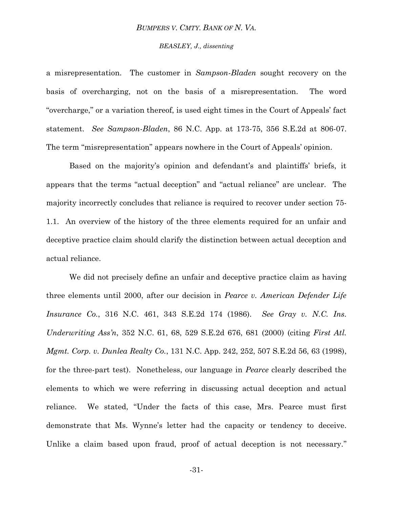#### *BEASLEY, J., dissenting*

a misrepresentation. The customer in *Sampson-Bladen* sought recovery on the basis of overcharging, not on the basis of a misrepresentation. The word ―overcharge,‖ or a variation thereof, is used eight times in the Court of Appeals' fact statement. *See Sampson-Bladen*, 86 N.C. App. at 173-75, 356 S.E.2d at 806-07. The term "misrepresentation" appears nowhere in the Court of Appeals' opinion.

Based on the majority's opinion and defendant's and plaintiffs' briefs, it appears that the terms "actual deception" and "actual reliance" are unclear. The majority incorrectly concludes that reliance is required to recover under section 75- 1.1. An overview of the history of the three elements required for an unfair and deceptive practice claim should clarify the distinction between actual deception and actual reliance.

We did not precisely define an unfair and deceptive practice claim as having three elements until 2000, after our decision in *Pearce v. American Defender Life Insurance Co.*, 316 N.C. 461, 343 S.E.2d 174 (1986). *See Gray v. N.C. Ins. Underwriting Ass'n*, 352 N.C. 61, 68, 529 S.E.2d 676, 681 (2000) (citing *[First Atl.](https://1.next.westlaw.com/Link/Document/FullText?findType=Y&serNum=1998224901&pubNum=711&originationContext=document&transitionType=DocumentItem&contextData=(sc.UserEnteredCitation)#co_pp_sp_711_63)  Mgmt. Corp. v. Dunlea Realty Co.*, 131 N.C. [App. 242, 252, 507 S.E.2d 56, 63 \(1998\),](https://1.next.westlaw.com/Link/Document/FullText?findType=Y&serNum=1998224901&pubNum=711&originationContext=document&transitionType=DocumentItem&contextData=(sc.UserEnteredCitation)#co_pp_sp_711_63) for the three-part test). Nonetheless, our language in *Pearce* clearly described the elements to which we were referring in discussing actual deception and actual reliance. We stated, "Under the facts of this case, Mrs. Pearce must first demonstrate that Ms. Wynne's letter had the capacity or tendency to deceive. Unlike a claim based upon fraud, proof of actual deception is not necessary."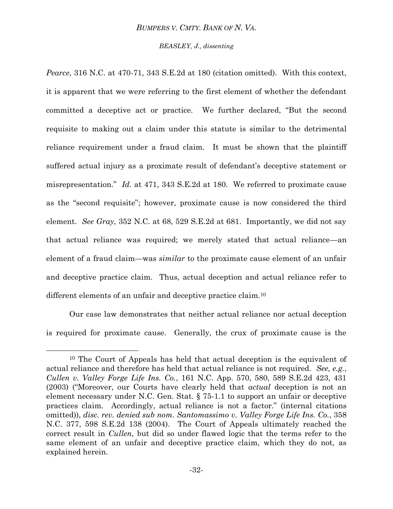#### *BEASLEY, J., dissenting*

*Pearce*, 316 N.C. at 470-71, 343 S.E.2d at 180 (citation omitted). With this context, it is apparent that we were referring to the first element of whether the defendant committed a deceptive act or practice. We further declared, "But the second requisite to making out a claim under this statute is similar to the detrimental reliance requirement under a fraud claim. It must be shown that the plaintiff suffered actual injury as a proximate result of defendant's deceptive statement or misrepresentation.‖ *Id.* at 471, 343 S.E.2d at 180. We referred to proximate cause as the "second requisite"; however, proximate cause is now considered the third element. *See Gray*, 352 N.C. at 68, 529 S.E.2d at 681. Importantly, we did not say that actual reliance was required; we merely stated that actual reliance—an element of a fraud claim—was *similar* to the proximate cause element of an unfair and deceptive practice claim. Thus, actual deception and actual reliance refer to different elements of an unfair and deceptive practice claim.<sup>10</sup>

Our case law demonstrates that neither actual reliance nor actual deception is required for proximate cause. Generally, the crux of proximate cause is the

l

<sup>10</sup> The Court of Appeals has held that actual deception is the equivalent of actual reliance and therefore has held that actual reliance is not required. *See, e.g.*, *Cullen v. Valley Forge Life Ins. Co.*, 161 N.C. App. 570, 580, 589 S.E.2d 423, 431 (2003) ("Moreover, our Courts have clearly held that *actual* deception is not an element necessary under N.C. Gen. Stat. § 75-1.1 to support an unfair or deceptive practices claim. Accordingly, actual reliance is not a factor.‖ (internal citations omitted)), *disc. rev. denied sub nom. Santomassimo v. Valley Forge Life Ins. Co.*, 358 N.C. 377, 598 S.E.2d 138 (2004). The Court of Appeals ultimately reached the correct result in *Cullen*, but did so under flawed logic that the terms refer to the same element of an unfair and deceptive practice claim, which they do not, as explained herein.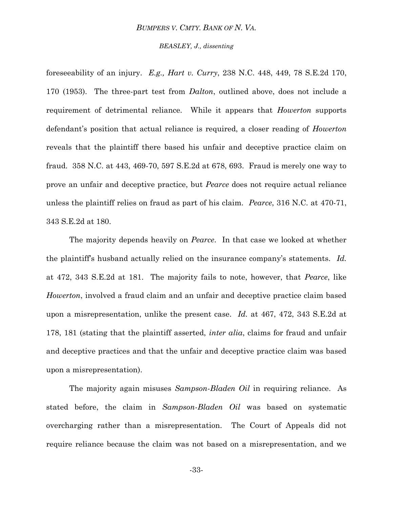#### *BEASLEY, J., dissenting*

foreseeability of an injury. *E.g., Hart v. Curry*, 238 N.C. 448, 449, 78 S.E.2d 170, 170 (1953). The three-part test from *Dalton*, outlined above, does not include a requirement of detrimental reliance. While it appears that *Howerton* supports defendant's position that actual reliance is required, a closer reading of *Howerton* reveals that the plaintiff there based his unfair and deceptive practice claim on fraud. 358 N.C. at 443, 469-70, 597 S.E.2d at 678, 693. Fraud is merely one way to prove an unfair and deceptive practice, but *Pearce* does not require actual reliance unless the plaintiff relies on fraud as part of his claim. *Pearce*, 316 N.C. at 470-71, 343 S.E.2d at 180.

The majority depends heavily on *Pearce*. In that case we looked at whether the plaintiff's husband actually relied on the insurance company's statements. *Id.* at 472, 343 S.E.2d at 181. The majority fails to note, however, that *Pearce*, like *Howerton*, involved a fraud claim and an unfair and deceptive practice claim based upon a misrepresentation, unlike the present case. *Id.* at 467, 472, 343 S.E.2d at 178, 181 (stating that the plaintiff asserted, *inter alia*, claims for fraud and unfair and deceptive practices and that the unfair and deceptive practice claim was based upon a misrepresentation).

The majority again misuses *Sampson-Bladen Oil* in requiring reliance. As stated before, the claim in *Sampson-Bladen Oil* was based on systematic overcharging rather than a misrepresentation. The Court of Appeals did not require reliance because the claim was not based on a misrepresentation, and we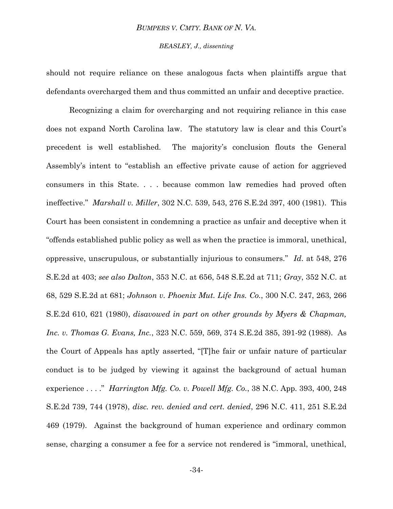## *BEASLEY, J., dissenting*

should not require reliance on these analogous facts when plaintiffs argue that defendants overcharged them and thus committed an unfair and deceptive practice.

Recognizing a claim for overcharging and not requiring reliance in this case does not expand North Carolina law. The statutory law is clear and this Court's precedent is well established. The majority's conclusion flouts the General Assembly's intent to "establish an effective private cause of action for aggrieved consumers in this State. . . . because common law remedies had proved often ineffective.‖ *Marshall v. Miller*, 302 N.C. 539, 543, 276 S.E.2d 397, 400 (1981). This Court has been consistent in condemning a practice as unfair and deceptive when it ―offends established public policy as well as when the practice is immoral, unethical, oppressive, unscrupulous, or substantially injurious to consumers.‖ *Id*. at 548, 276 S.E.2d at 403; *see also Dalton*, 353 N.C. at 656, 548 S.E.2d at 711; *Gray*, 352 N.C. at 68, 529 S.E.2d at 681; *Johnson v. Phoenix Mut. Life Ins. Co.*, 300 N.C. 247, 263, 266 S.E.2d 610, 621 (1980), *disavowed in part on other grounds by Myers & Chapman, Inc. v. Thomas G. Evans, Inc.*, 323 N.C. 559, 569, 374 S.E.2d 385, 391-92 (1988). As the Court of Appeals has aptly asserted, "[T]he fair or unfair nature of particular conduct is to be judged by viewing it against the background of actual human experience . . . ." *Harrington Mfg. Co. v. Powell Mfg. Co.*, 38 N.C. App. 393, 400, 248 S.E.2d 739, 744 (1978), *disc. rev. denied and cert. denied*, 296 N.C. 411, 251 S.E.2d 469 (1979). Against the background of human experience and ordinary common sense, charging a consumer a fee for a service not rendered is "immoral, unethical,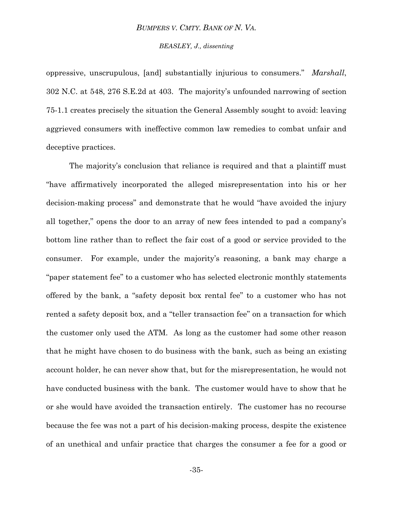#### *BEASLEY, J., dissenting*

oppressive, unscrupulous, [and] substantially injurious to consumers.‖ *Marshall*, 302 N.C. at 548, 276 S.E.2d at 403. The majority's unfounded narrowing of section 75-1.1 creates precisely the situation the General Assembly sought to avoid: leaving aggrieved consumers with ineffective common law remedies to combat unfair and deceptive practices.

The majority's conclusion that reliance is required and that a plaintiff must ―have affirmatively incorporated the alleged misrepresentation into his or her decision-making process" and demonstrate that he would "have avoided the injury all together," opens the door to an array of new fees intended to pad a company's bottom line rather than to reflect the fair cost of a good or service provided to the consumer. For example, under the majority's reasoning, a bank may charge a "paper statement fee" to a customer who has selected electronic monthly statements offered by the bank, a "safety deposit box rental fee" to a customer who has not rented a safety deposit box, and a "teller transaction fee" on a transaction for which the customer only used the ATM. As long as the customer had some other reason that he might have chosen to do business with the bank, such as being an existing account holder, he can never show that, but for the misrepresentation, he would not have conducted business with the bank. The customer would have to show that he or she would have avoided the transaction entirely. The customer has no recourse because the fee was not a part of his decision-making process, despite the existence of an unethical and unfair practice that charges the consumer a fee for a good or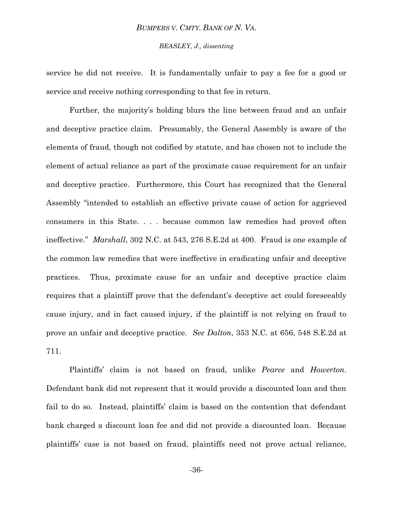## *BEASLEY, J., dissenting*

service he did not receive. It is fundamentally unfair to pay a fee for a good or service and receive nothing corresponding to that fee in return.

Further, the majority's holding blurs the line between fraud and an unfair and deceptive practice claim. Presumably, the General Assembly is aware of the elements of fraud, though not codified by statute, and has chosen not to include the element of actual reliance as part of the proximate cause requirement for an unfair and deceptive practice. Furthermore, this Court has recognized that the General Assembly "intended to establish an effective private cause of action for aggrieved consumers in this State. . . . because common law remedies had proved often ineffective." *Marshall*, 302 N.C. at 543, 276 S.E.2d at 400. Fraud is one example of the common law remedies that were ineffective in eradicating unfair and deceptive practices. Thus, proximate cause for an unfair and deceptive practice claim requires that a plaintiff prove that the defendant's deceptive act could foreseeably cause injury, and in fact caused injury, if the plaintiff is not relying on fraud to prove an unfair and deceptive practice. *See Dalton*, 353 N.C. at 656, 548 S.E.2d at 711.

Plaintiffs' claim is not based on fraud, unlike *Pearce* and *Howerton*. Defendant bank did not represent that it would provide a discounted loan and then fail to do so. Instead, plaintiffs' claim is based on the contention that defendant bank charged a discount loan fee and did not provide a discounted loan. Because plaintiffs' case is not based on fraud, plaintiffs need not prove actual reliance,

-36-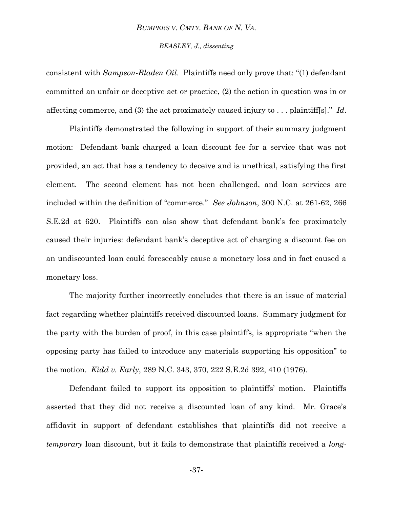#### *BEASLEY, J., dissenting*

consistent with *Sampson-Bladen Oil.* Plaintiffs need only prove that: "(1) defendant committed an unfair or deceptive act or practice, (2) the action in question was in or affecting commerce, and (3) the act proximately caused injury to ... plaintiff[s]." *Id*.

Plaintiffs demonstrated the following in support of their summary judgment motion: Defendant bank charged a loan discount fee for a service that was not provided, an act that has a tendency to deceive and is unethical, satisfying the first element. The second element has not been challenged, and loan services are included within the definition of "commerce." *See Johnson*, 300 N.C. at 261-62, 266 S.E.2d at 620. Plaintiffs can also show that defendant bank's fee proximately caused their injuries: defendant bank's deceptive act of charging a discount fee on an undiscounted loan could foreseeably cause a monetary loss and in fact caused a monetary loss.

The majority further incorrectly concludes that there is an issue of material fact regarding whether plaintiffs received discounted loans. Summary judgment for the party with the burden of proof, in this case plaintiffs, is appropriate "when the opposing party has failed to introduce any materials supporting his opposition‖ to the motion. *Kidd v. Early*, 289 N.C. 343, 370, 222 S.E.2d 392, 410 (1976).

Defendant failed to support its opposition to plaintiffs' motion. Plaintiffs asserted that they did not receive a discounted loan of any kind. Mr. Grace's affidavit in support of defendant establishes that plaintiffs did not receive a *temporary* loan discount, but it fails to demonstrate that plaintiffs received a *long-*